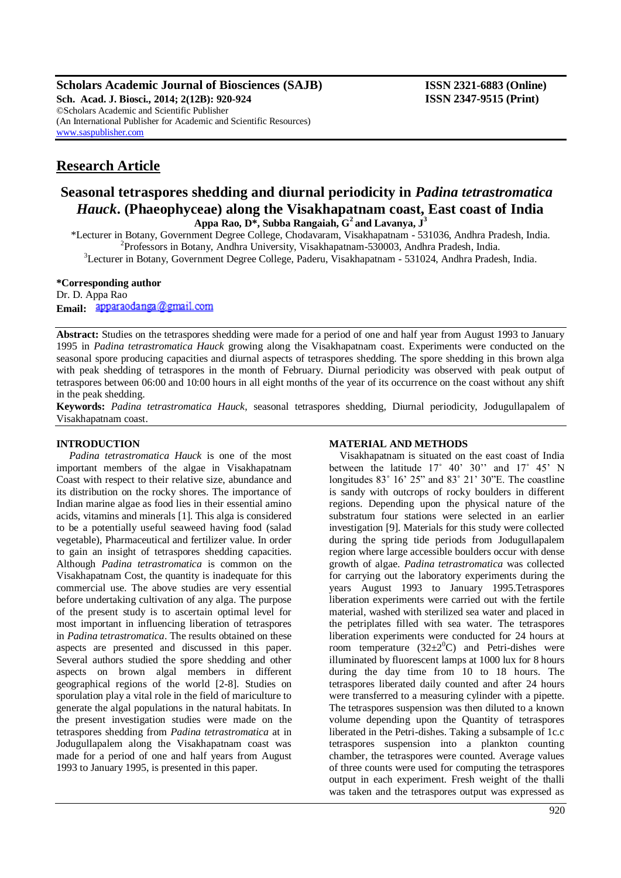**Scholars Academic Journal of Biosciences (SAJB) ISSN 2321-6883 (Online) Sch. Acad. J. Biosci., 2014; 2(12B): 920-924 ISSN 2347-9515 (Print)** ©Scholars Academic and Scientific Publisher (An International Publisher for Academic and Scientific Resources) [www.saspublisher.com](http://www.saspublisher.com/)

# **Research Article**

## **Seasonal tetraspores shedding and diurnal periodicity in** *Padina tetrastromatica Hauck***. (Phaeophyceae) along the Visakhapatnam coast, East coast of India Appa Rao, D\*, Subba Rangaiah, G<sup>2</sup>and Lavanya, J<sup>3</sup>**

\*Lecturer in Botany, Government Degree College, Chodavaram, Visakhapatnam - 531036, Andhra Pradesh, India. <sup>2</sup>Professors in Botany, Andhra University, Visakhapatnam-530003, Andhra Pradesh, India.

<sup>3</sup>Lecturer in Botany, Government Degree College, Paderu, Visakhapatnam - 531024, Andhra Pradesh, India.

#### **\*Corresponding author**

Dr. D. Appa Rao **Email:** apparaodanga@gmail.com

**Abstract:** Studies on the tetraspores shedding were made for a period of one and half year from August 1993 to January 1995 in *Padina tetrastromatica Hauck* growing along the Visakhapatnam coast. Experiments were conducted on the seasonal spore producing capacities and diurnal aspects of tetraspores shedding. The spore shedding in this brown alga with peak shedding of tetraspores in the month of February. Diurnal periodicity was observed with peak output of tetraspores between 06:00 and 10:00 hours in all eight months of the year of its occurrence on the coast without any shift in the peak shedding.

**Keywords:** *Padina tetrastromatica Hauck*, seasonal tetraspores shedding, Diurnal periodicity, Jodugullapalem of Visakhapatnam coast.

#### **INTRODUCTION**

*Padina tetrastromatica Hauck* is one of the most important members of the algae in Visakhapatnam Coast with respect to their relative size, abundance and its distribution on the rocky shores. The importance of Indian marine algae as food lies in their essential amino acids, vitamins and minerals [1]. This alga is considered to be a potentially useful seaweed having food (salad vegetable), Pharmaceutical and fertilizer value. In order to gain an insight of tetraspores shedding capacities. Although *Padina tetrastromatica* is common on the Visakhapatnam Cost, the quantity is inadequate for this commercial use. The above studies are very essential before undertaking cultivation of any alga. The purpose of the present study is to ascertain optimal level for most important in influencing liberation of tetraspores in *Padina tetrastromatica*. The results obtained on these aspects are presented and discussed in this paper. Several authors studied the spore shedding and other aspects on brown algal members in different geographical regions of the world [2-8]. Studies on sporulation play a vital role in the field of mariculture to generate the algal populations in the natural habitats. In the present investigation studies were made on the tetraspores shedding from *Padina tetrastromatica* at in Jodugullapalem along the Visakhapatnam coast was made for a period of one and half years from August 1993 to January 1995, is presented in this paper.

#### **MATERIAL AND METHODS**

Visakhapatnam is situated on the east coast of India between the latitude 17° 40' 30" and 17° 45' N longitudes 83˚ 16' 25" and 83˚ 21' 30"E. The coastline is sandy with outcrops of rocky boulders in different regions. Depending upon the physical nature of the substratum four stations were selected in an earlier investigation [9]. Materials for this study were collected during the spring tide periods from Jodugullapalem region where large accessible boulders occur with dense growth of algae. *Padina tetrastromatica* was collected for carrying out the laboratory experiments during the years August 1993 to January 1995.Tetraspores liberation experiments were carried out with the fertile material, washed with sterilized sea water and placed in the petriplates filled with sea water. The tetraspores liberation experiments were conducted for 24 hours at room temperature  $(32\pm2\textsuperscript{0}C)$  and Petri-dishes were illuminated by fluorescent lamps at 1000 lux for 8 hours during the day time from 10 to 18 hours. The tetraspores liberated daily counted and after 24 hours were transferred to a measuring cylinder with a pipette. The tetraspores suspension was then diluted to a known volume depending upon the Quantity of tetraspores liberated in the Petri-dishes. Taking a subsample of 1c.c tetraspores suspension into a plankton counting chamber, the tetraspores were counted. Average values of three counts were used for computing the tetraspores output in each experiment. Fresh weight of the thalli was taken and the tetraspores output was expressed as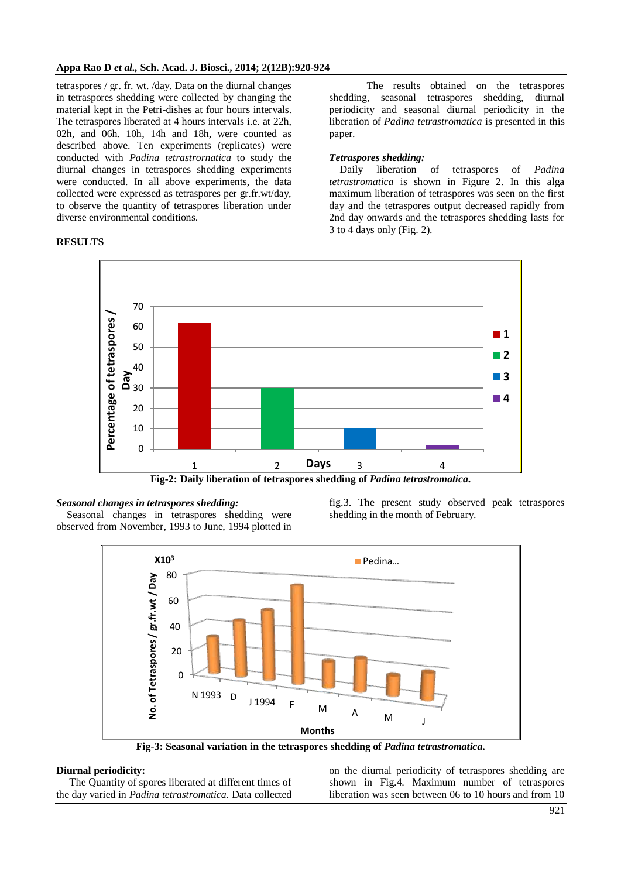tetraspores / gr. fr. wt. /day. Data on the diurnal changes in tetraspores shedding were collected by changing the material kept in the Petri-dishes at four hours intervals. The tetraspores liberated at 4 hours intervals i.e. at 22h, 02h, and 06h. 10h, 14h and 18h, were counted as described above. Ten experiments (replicates) were conducted with *Padina tetrastrornatica* to study the diurnal changes in tetraspores shedding experiments were conducted. In all above experiments, the data collected were expressed as tetraspores per gr.fr.wt/day, to observe the quantity of tetraspores liberation under diverse environmental conditions.

## **RESULTS**

The results obtained on the tetraspores shedding, seasonal tetraspores shedding, diurnal periodicity and seasonal diurnal periodicity in the liberation of *Padina tetrastromatica* is presented in this paper.

## *Tetraspores shedding:*

Daily liberation of tetraspores of *Padina tetrastromatica* is shown in Figure 2. In this alga maximum liberation of tetraspores was seen on the first day and the tetraspores output decreased rapidly from 2nd day onwards and the tetraspores shedding lasts for 3 to 4 days only (Fig. 2).



#### *Seasonal changes in tetraspores shedding:*

Seasonal changes in tetraspores shedding were observed from November, 1993 to June, 1994 plotted in fig.3. The present study observed peak tetraspores shedding in the month of February.



**Fig-3: Seasonal variation in the tetraspores shedding of** *Padina tetrastromatica***.**

#### **Diurnal periodicity:**

The Quantity of spores liberated at different times of the day varied in *Padina tetrastromatica*. Data collected

on the diurnal periodicity of tetraspores shedding are shown in Fig.4. Maximum number of tetraspores liberation was seen between 06 to 10 hours and from 10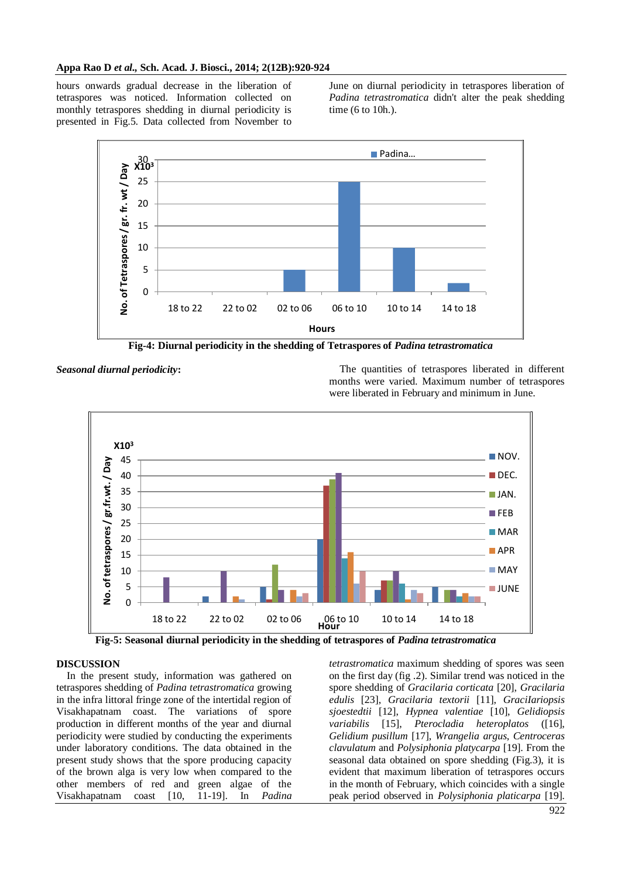hours onwards gradual decrease in the liberation of tetraspores was noticed. Information collected on monthly tetraspores shedding in diurnal periodicity is presented in Fig.5. Data collected from November to

June on diurnal periodicity in tetraspores liberation of *Padina tetrastromatica* didn't alter the peak shedding time (6 to 10h.).



**Fig-4: Diurnal periodicity in the shedding of Tetraspores of** *Padina tetrastromatica*



**Seasonal diurnal periodicity:** The quantities of tetraspores liberated in different months were varied. Maximum number of tetraspores were liberated in February and minimum in June.



**Fig-5: Seasonal diurnal periodicity in the shedding of tetraspores of** *Padina tetrastromatica*

#### **DISCUSSION**

In the present study, information was gathered on tetraspores shedding of *Padina tetrastromatica* growing in the infra littoral fringe zone of the intertidal region of Visakhapatnam coast. The variations of spore production in different months of the year and diurnal periodicity were studied by conducting the experiments under laboratory conditions. The data obtained in the present study shows that the spore producing capacity of the brown alga is very low when compared to the other members of red and green algae of the Visakhapatnam coast [10, 11-19]. In *Padina* 

*tetrastromatica* maximum shedding of spores was seen on the first day (fig .2). Similar trend was noticed in the spore shedding of *Gracilaria corticata* [20], *Gracilaria edulis* [23], *Gracilaria textorii* [11], *GraciIariopsis sjoestedtii* [12], *Hypnea valentiae* [10], *Gelidiopsis variabilis* [15], *Pterocladia heteroplatos* ([16], *Gelidium pusillum* [17], *Wrangelia argus*, *Centroceras clavulatum* and *Polysiphonia platycarpa* [19]. From the seasonal data obtained on spore shedding (Fig.3), it is evident that maximum liberation of tetraspores occurs in the month of February, which coincides with a single peak period observed in *Polysiphonia platicarpa* [19].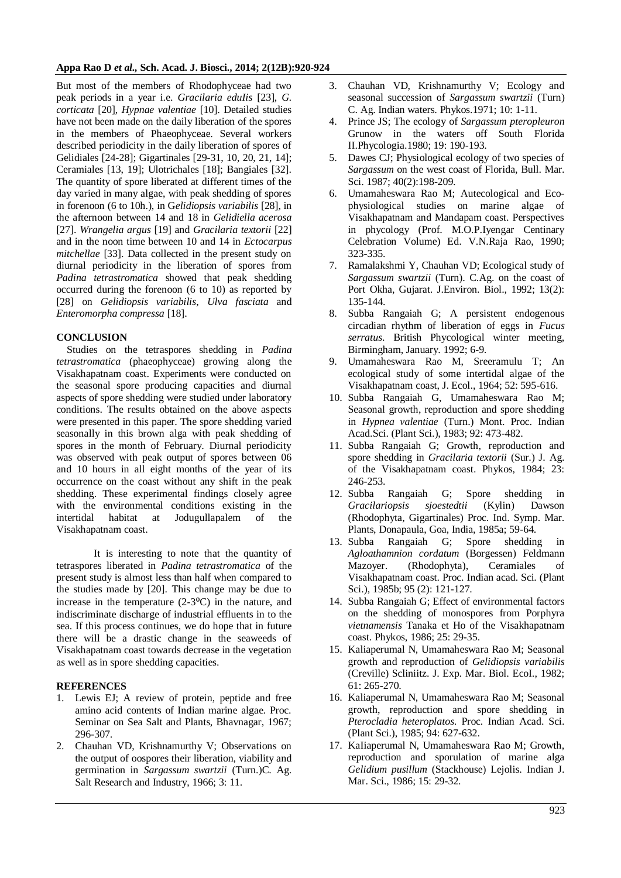#### **Appa Rao D** *et al.,* **Sch. Acad. J. Biosci., 2014; 2(12B):920-924**

But most of the members of Rhodophyceae had two peak periods in a year i.e. *Gracilaria eduIis* [23], *G. corticata* [20], *Hypnae valentiae* [10]. Detailed studies have not been made on the daily liberation of the spores in the members of Phaeophyceae. Several workers described periodicity in the daily liberation of spores of Gelidiales [24-28]; Gigartinales [29-31, 10, 20, 21, 14]; Ceramiales [13, 19]; Ulotrichales [18]; Bangiales [32]. The quantity of spore liberated at different times of the day varied in many algae, with peak shedding of spores in forenoon (6 to 10h.), in G*elidiopsis variabilis* [28], in the afternoon between 14 and 18 in *Gelidiella acerosa* [27]. *Wrangelia argus* [19] and *Gracilaria textorii* [22] and in the noon time between 10 and 14 in *Ectocarpus mitchellae* [33]. Data collected in the present study on diurnal periodicity in the liberation of spores from *Padina tetrastromatica* showed that peak shedding occurred during the forenoon (6 to 10) as reported by [28] on *Gelidiopsis variabilis*, *Ulva fasciata* and *Enteromorpha compressa* [18].

## **CONCLUSION**

Studies on the tetraspores shedding in *Padina tetrastromatica* (phaeophyceae) growing along the Visakhapatnam coast. Experiments were conducted on the seasonal spore producing capacities and diurnal aspects of spore shedding were studied under laboratory conditions. The results obtained on the above aspects were presented in this paper. The spore shedding varied seasonally in this brown alga with peak shedding of spores in the month of February. Diurnal periodicity was observed with peak output of spores between 06 and 10 hours in all eight months of the year of its occurrence on the coast without any shift in the peak shedding. These experimental findings closely agree with the environmental conditions existing in the intertidal habitat at Jodugullapalem of the Visakhapatnam coast.

It is interesting to note that the quantity of tetraspores liberated in *Padina tetrastromatica* of the present study is almost less than half when compared to the studies made by [20]. This change may be due to increase in the temperature  $(2-3<sup>o</sup>C)$  in the nature, and indiscriminate discharge of industrial effluents in to the sea. If this process continues, we do hope that in future there will be a drastic change in the seaweeds of Visakhapatnam coast towards decrease in the vegetation as well as in spore shedding capacities.

## **REFERENCES**

- 1. Lewis EJ; A review of protein, peptide and free amino acid contents of Indian marine algae. Proc. Seminar on Sea Salt and Plants, Bhavnagar, 1967; 296-307.
- 2. Chauhan VD, Krishnamurthy V; Observations on the output of oospores their liberation, viability and germination in *Sargassum swartzii* (Turn.)C. Ag. Salt Research and Industry, 1966; 3: 11.
- 3. Chauhan VD, Krishnamurthy V; Ecology and seasonal succession of *Sargassum swartzii* (Turn) C. Ag. Indian waters. Phykos.1971; 10: 1-11.
- 4. Prince JS; The ecology of *Sargassum pteropleuron*  Grunow in the waters off South Florida II.Phycologia.1980; 19: 190-193.
- 5. Dawes CJ; Physiological ecology of two species of *Sargassum* on the west coast of Florida, Bull. Mar. Sci. 1987; 40(2):198-209.
- 6. Umamaheswara Rao M; Autecological and Ecophysiological studies on marine algae of Visakhapatnam and Mandapam coast. Perspectives in phycology (Prof. M.O.P.Iyengar Centinary Celebration Volume) Ed. V.N.Raja Rao, 1990; 323-335.
- 7. Ramalakshmi Y, Chauhan VD; Ecological study of *Sargassum swartzii* (Turn). C.Ag. on the coast of Port Okha, Gujarat. J.Environ. Biol., 1992; 13(2): 135-144.
- 8. Subba Rangaiah G; A persistent endogenous circadian rhythm of liberation of eggs in *Fucus serratus*. British Phycological winter meeting, Birmingham, January. 1992; 6-9.
- 9. Umamaheswara Rao M, Sreeramulu T; An ecological study of some intertidal algae of the Visakhapatnam coast, J. Ecol., 1964; 52: 595-616.
- 10. Subba Rangaiah G, Umamaheswara Rao M; Seasonal growth, reproduction and spore shedding in *Hypnea valentiae* (Turn.) Mont. Proc. Indian Acad.Sci. (Plant Sci.), 1983; 92: 473-482.
- 11. Subba Rangaiah G; Growth, reproduction and spore shedding in *Gracilaria textorii* (Sur.) J. Ag. of the Visakhapatnam coast. Phykos, 1984; 23: 246-253.
- 12. Subba Rangaiah G; Spore shedding in *Gracilariopsis sjoestedtii* (Kylin) Dawson (Rhodophyta, Gigartinales) Proc. Ind. Symp. Mar. Plants, Donapaula, Goa, India, 1985a; 59-64.
- 13. Subba Rangaiah G; Spore shedding in *Agloathamnion cordatum* (Borgessen) Feldmann Mazoyer. (Rhodophyta), Ceramiales of Visakhapatnam coast. Proc. Indian acad. Sci. (Plant Sci.), 1985b; 95 (2): 121-127.
- 14. Subba Rangaiah G; Effect of environmental factors on the shedding of monospores from Porphyra *vietnamensis* Tanaka et Ho of the Visakhapatnam coast. Phykos, 1986; 25: 29-35.
- 15. Kaliaperumal N, Umamaheswara Rao M; Seasonal growth and reproduction of *Gelidiopsis variabilis* (Creville) Scliniitz. J. Exp. Mar. Biol. EcoI., 1982; 61: 265-270.
- 16. Kaliaperumal N, Umamaheswara Rao M; Seasonal growth, reproduction and spore shedding in *Pterocladia heteroplatos*. Proc. Indian Acad. Sci. (Plant Sci.), 1985; 94: 627-632.
- 17. KaIiaperumal N, Umamaheswara Rao M; Growth, reproduction and sporulation of marine alga *Gelidium pusillum* (Stackhouse) Lejolis. Indian J. Mar. Sci., 1986; 15: 29-32.